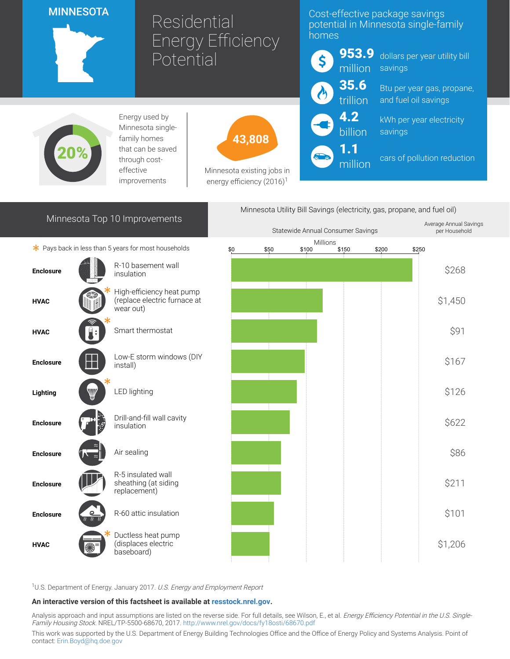## **MINNESOTA**

# Residential Energy Efficiency Potential

### Cost-effective package savings potential in Minnesota single-family homes



Minnesota Utility Bill Savings (electricity, gas, propane, and fuel oil)

dollars per year utility bill savings

Btu per year gas, propane, and fuel oil savings

kWh per year electricity savings

cars of pollution reduction



Energy used by Minnesota singlefamily homes that can be saved through costeffective improvements

43,808

Minnesota existing jobs in energy efficiency  $(2016)^1$ 

| Minnesota Top 10 Improvements |  |
|-------------------------------|--|
|-------------------------------|--|

 $*$  Pays back in less than 5 years for most households





<sup>1</sup>U.S. Department of Energy. January 2017. U.S. Energy and Employment Report

#### An interactive version of this factsheet is available at [resstock.nrel.gov.](https://resstock.nrel.gov/)

Analysis approach and input assumptions are listed on the reverse side. For full details, see Wilson, E., et al. Energy Efficiency Potential in the U.S. Single-Family Housing Stock. NREL/TP-5500-68670, 2017. <http://www.nrel.gov/docs/fy18osti/68670.pdf>

This work was supported by the U.S. Department of Energy Building Technologies Office and the Office of Energy Policy and Systems Analysis. Point of contact: [Erin.Boyd@hq.doe.gov](mailto:Erin.Boyd@hq.doe.gov)